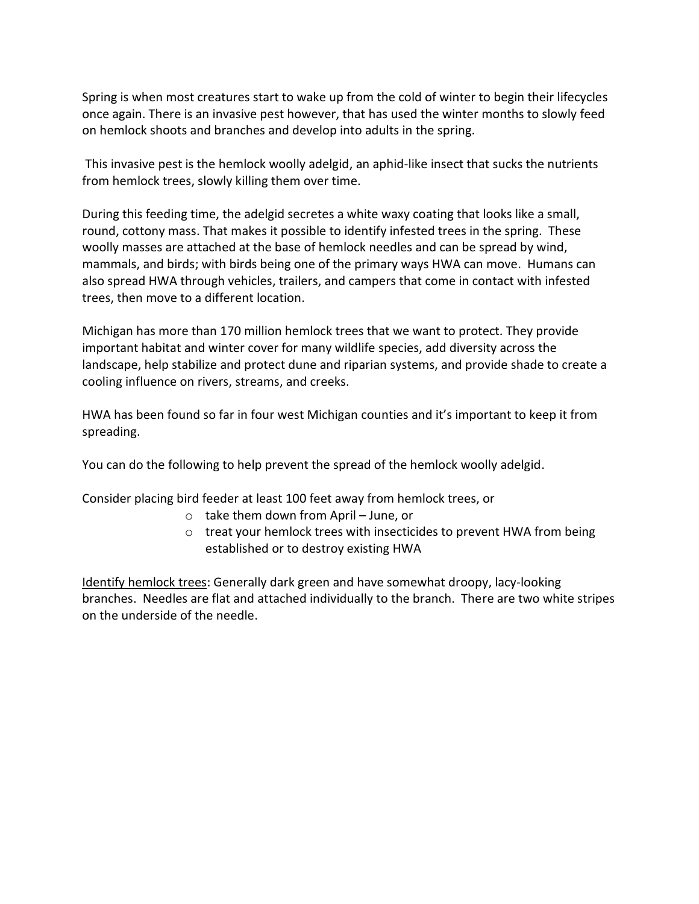Spring is when most creatures start to wake up from the cold of winter to begin their lifecycles once again. There is an invasive pest however, that has used the winter months to slowly feed on hemlock shoots and branches and develop into adults in the spring.

This invasive pest is the hemlock woolly adelgid, an aphid-like insect that sucks the nutrients from hemlock trees, slowly killing them over time.

During this feeding time, the adelgid secretes a white waxy coating that looks like a small, round, cottony mass. That makes it possible to identify infested trees in the spring. These woolly masses are attached at the base of hemlock needles and can be spread by wind, mammals, and birds; with birds being one of the primary ways HWA can move. Humans can also spread HWA through vehicles, trailers, and campers that come in contact with infested trees, then move to a different location.

Michigan has more than 170 million hemlock trees that we want to protect. They provide important habitat and winter cover for many wildlife species, add diversity across the landscape, help stabilize and protect dune and riparian systems, and provide shade to create a cooling influence on rivers, streams, and creeks.

HWA has been found so far in four west Michigan counties and it's important to keep it from spreading.

You can do the following to help prevent the spread of the hemlock woolly adelgid.

Consider placing bird feeder at least 100 feet away from hemlock trees, or

- o take them down from April June, or
- o treat your hemlock trees with insecticides to prevent HWA from being established or to destroy existing HWA

Identify hemlock trees: Generally dark green and have somewhat droopy, lacy-looking branches. Needles are flat and attached individually to the branch. There are two white stripes on the underside of the needle.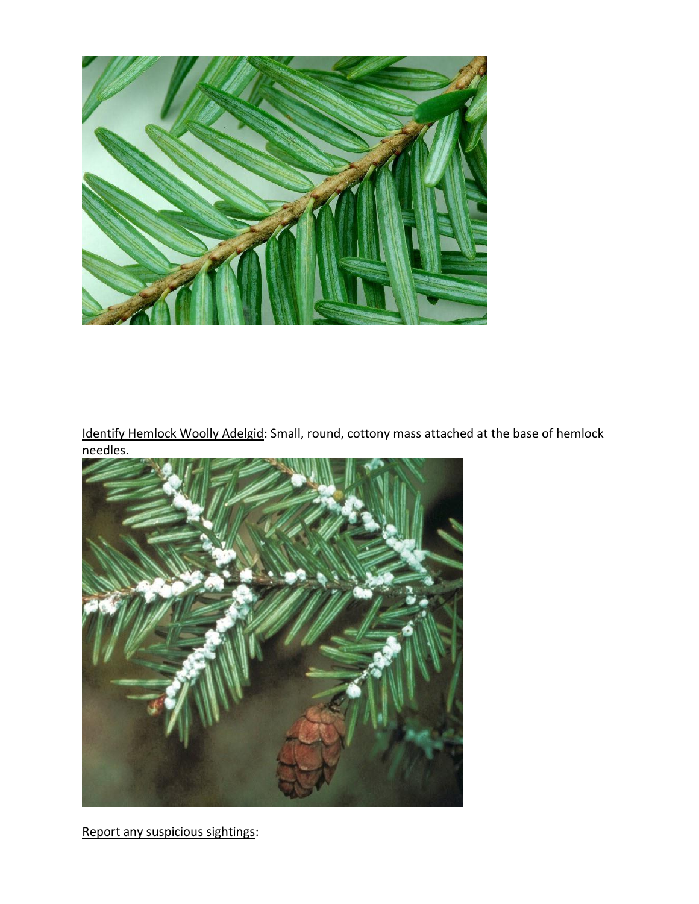

Identify Hemlock Woolly Adelgid: Small, round, cottony mass attached at the base of hemlock needles.



Report any suspicious sightings: